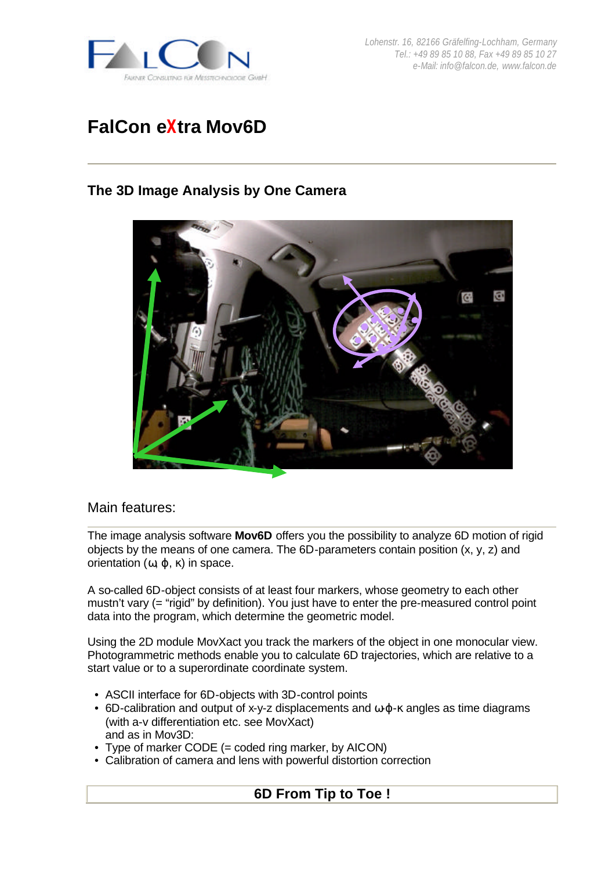

*Lohenstr. 16, 82166 Gräfelfing-Lochham, Germany Tel.: +49 89 85 10 88, Fax +49 89 85 10 27 e-Mail: info@falcon.de, www.falcon.de*

# **FalCon eXtra Mov6D**

# **The 3D Image Analysis by One Camera**



#### Main features:

The image analysis software **Mov6D** offers you the possibility to analyze 6D motion of rigid objects by the means of one camera. The 6D-parameters contain position (x, y, z) and orientation  $(ω, φ, κ)$  in space.

A so-called 6D-object consists of at least four markers, whose geometry to each other mustn't vary (= "rigid" by definition). You just have to enter the pre-measured control point data into the program, which determine the geometric model.

Using the 2D module MovXact you track the markers of the object in one monocular view. Photogrammetric methods enable you to calculate 6D trajectories, which are relative to a start value or to a superordinate coordinate system.

- ASCII interface for 6D-objects with 3D-control points
- 6D-calibration and output of x-y-z displacements and  $\omega \varphi$ - $\kappa$  angles as time diagrams (with a-v differentiation etc. see MovXact) and as in Mov3D:
- Type of marker CODE (= coded ring marker, by AICON)
- Calibration of camera and lens with powerful distortion correction